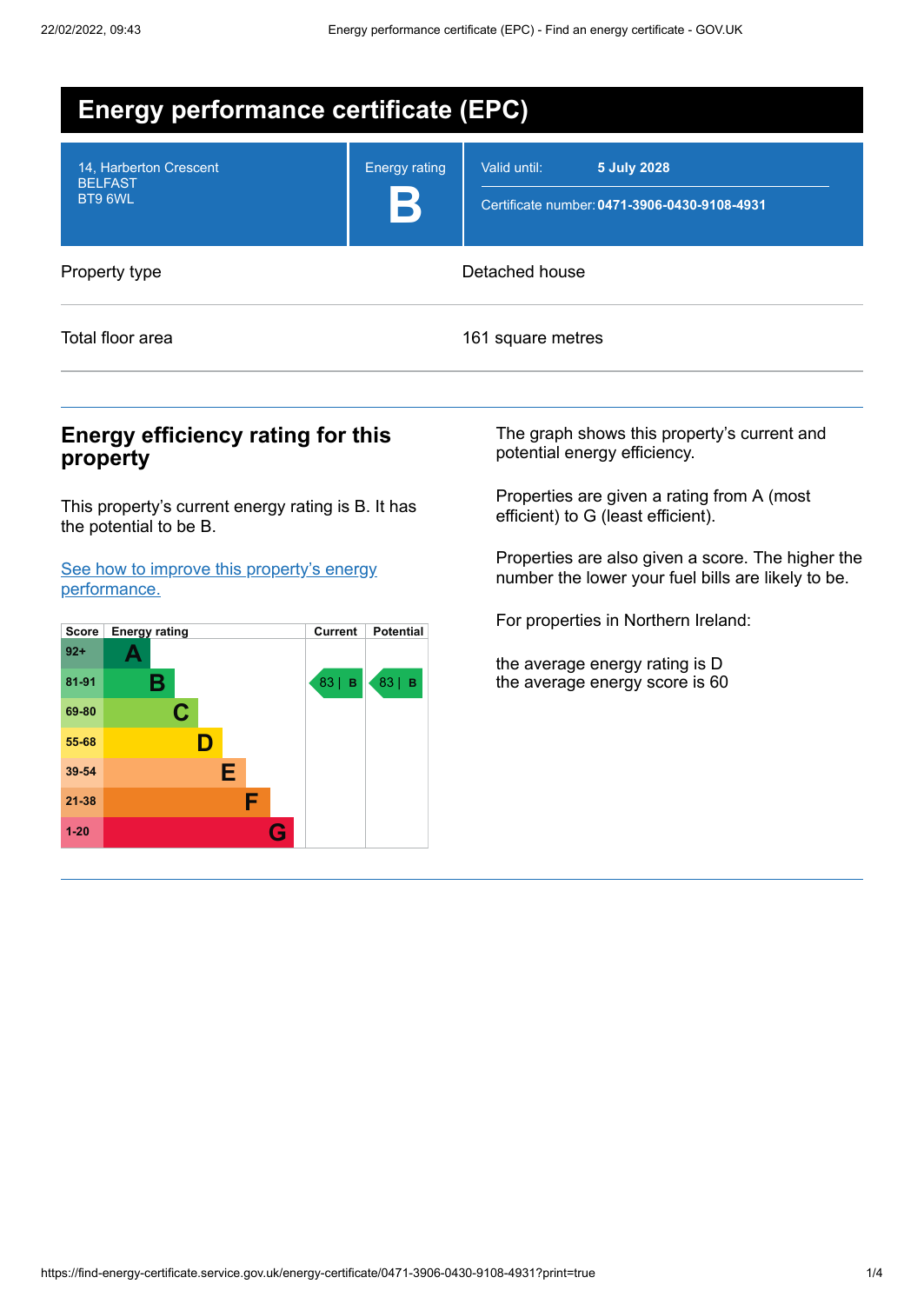| <b>Energy performance certificate (EPC)</b>         |                             |                                                                             |  |  |
|-----------------------------------------------------|-----------------------------|-----------------------------------------------------------------------------|--|--|
| 14, Harberton Crescent<br><b>BELFAST</b><br>BT9 6WL | <b>Energy rating</b><br>15' | 5 July 2028<br>Valid until:<br>Certificate number: 0471-3906-0430-9108-4931 |  |  |
| Property type                                       |                             | Detached house                                                              |  |  |
| Total floor area                                    | 161 square metres           |                                                                             |  |  |

## **Energy efficiency rating for this property**

This property's current energy rating is B. It has the potential to be B.

See how to improve this property's energy [performance.](#page-2-0)



The graph shows this property's current and potential energy efficiency.

Properties are given a rating from A (most efficient) to G (least efficient).

Properties are also given a score. The higher the number the lower your fuel bills are likely to be.

For properties in Northern Ireland:

the average energy rating is D the average energy score is 60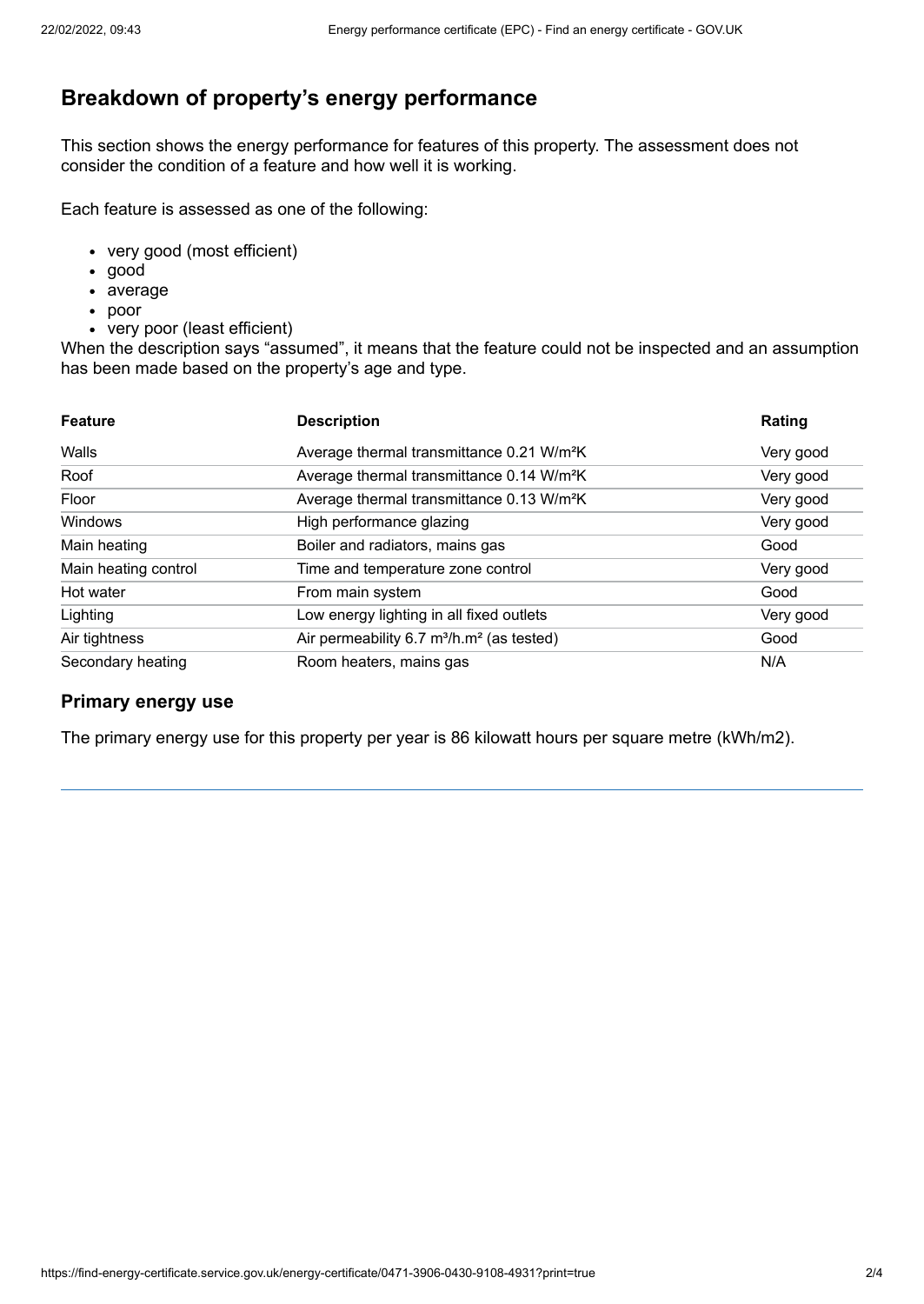# **Breakdown of property's energy performance**

This section shows the energy performance for features of this property. The assessment does not consider the condition of a feature and how well it is working.

Each feature is assessed as one of the following:

- very good (most efficient)
- good
- average
- poor
- very poor (least efficient)

When the description says "assumed", it means that the feature could not be inspected and an assumption has been made based on the property's age and type.

| <b>Feature</b>       | <b>Description</b>                                                       | Rating    |
|----------------------|--------------------------------------------------------------------------|-----------|
| Walls                | Average thermal transmittance 0.21 W/m <sup>2</sup> K                    | Very good |
| Roof                 | Average thermal transmittance 0.14 W/m <sup>2</sup> K                    | Very good |
| Floor                | Average thermal transmittance 0.13 W/m <sup>2</sup> K                    | Very good |
| Windows              | High performance glazing                                                 | Very good |
| Main heating         | Boiler and radiators, mains gas                                          | Good      |
| Main heating control | Time and temperature zone control                                        | Very good |
| Hot water            | From main system                                                         | Good      |
| Lighting             | Low energy lighting in all fixed outlets                                 | Very good |
| Air tightness        | Air permeability $6.7 \text{ m}^3/\text{h} \cdot \text{m}^2$ (as tested) | Good      |
| Secondary heating    | Room heaters, mains gas                                                  | N/A       |

### **Primary energy use**

The primary energy use for this property per year is 86 kilowatt hours per square metre (kWh/m2).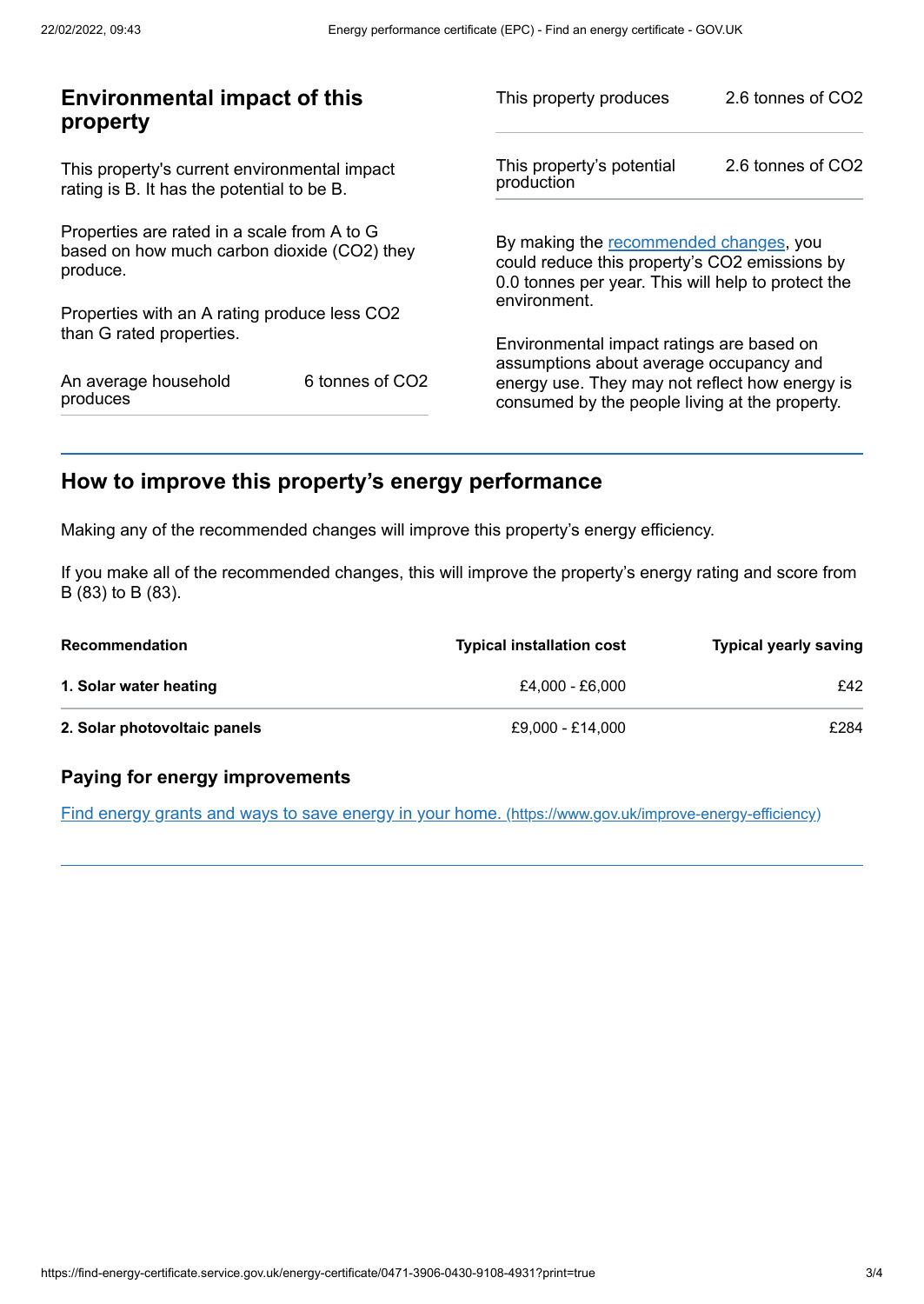| <b>Environmental impact of this</b><br>property                                                        |                             | This property produces                                                                                                                        | 2.6 tonnes of CO2                                                                                |  |
|--------------------------------------------------------------------------------------------------------|-----------------------------|-----------------------------------------------------------------------------------------------------------------------------------------------|--------------------------------------------------------------------------------------------------|--|
| This property's current environmental impact<br>rating is B. It has the potential to be B.             |                             | This property's potential<br>production                                                                                                       | 2.6 tonnes of CO2                                                                                |  |
| Properties are rated in a scale from A to G<br>based on how much carbon dioxide (CO2) they<br>produce. |                             | By making the recommended changes, you<br>could reduce this property's CO2 emissions by<br>0.0 tonnes per year. This will help to protect the |                                                                                                  |  |
| Properties with an A rating produce less CO2                                                           |                             | environment.                                                                                                                                  |                                                                                                  |  |
| than G rated properties.                                                                               |                             | Environmental impact ratings are based on<br>assumptions about average occupancy and                                                          |                                                                                                  |  |
| An average household<br>produces                                                                       | 6 tonnes of CO <sub>2</sub> |                                                                                                                                               | energy use. They may not reflect how energy is<br>consumed by the people living at the property. |  |
|                                                                                                        |                             |                                                                                                                                               |                                                                                                  |  |

# <span id="page-2-0"></span>**How to improve this property's energy performance**

Making any of the recommended changes will improve this property's energy efficiency.

If you make all of the recommended changes, this will improve the property's energy rating and score from B (83) to B (83).

| <b>Recommendation</b>        | <b>Typical installation cost</b> | <b>Typical yearly saving</b> |
|------------------------------|----------------------------------|------------------------------|
| 1. Solar water heating       | £4.000 - £6.000                  | £42                          |
| 2. Solar photovoltaic panels | £9.000 - £14.000                 | £284                         |

### **Paying for energy improvements**

Find energy grants and ways to save energy in your home. [\(https://www.gov.uk/improve-energy-efficiency\)](https://www.gov.uk/improve-energy-efficiency)